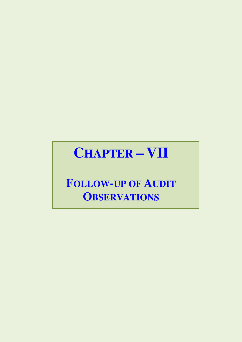# **CHAPTER - VII**

## **FOLLOW-UP OF AUDIT OBSERVATIONS**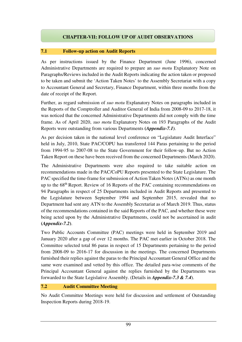### **CHAPTER-VII: FOLLOW UP OF AUDIT OBSERVATIONS**

#### **7.1 Follow-up action on Audit Reports**

As per instructions issued by the Finance Department (June 1996), concerned Administrative Departments are required to prepare an *suo motu* Explanatory Note on Paragraphs/Reviews included in the Audit Reports indicating the action taken or proposed to be taken and submit the 'Action Taken Notes' to the Assembly Secretariat with a copy to Accountant General and Secretary, Finance Department, within three months from the date of receipt of the Report.

Further, as regard submission of *suo motu* Explanatory Notes on paragraphs included in the Reports of the Comptroller and Auditor General of India from 2008-09 to 2017-18, it was noticed that the concerned Administrative Departments did not comply with the time frame. As of April 2020, *suo motu* Explanatory Notes on 193 Paragraphs of the Audit Reports were outstanding from various Departments **(***Appendix-7.1***)**.

As per decision taken in the national level conference on "Legislature Audit Interface" held in July, 2010, State PAC/COPU has transferred 144 Paras pertaining to the period from 1994-95 to 2007-08 to the State Government for their follow-up. But no Action Taken Report on these have been received from the concerned Departments (March 2020).

The Administrative Departments were also required to take suitable action on recommendations made in the PAC/CoPU Reports presented to the State Legislature. The PAC specified the time-frame for submission of Action Taken Notes (ATNs) as one month up to the 68th Report. Review of 16 Reports of the PAC containing recommendations on 94 Paragraphs in respect of 25 Departments included in Audit Reports and presented to the Legislature between September 1994 and September 2015, revealed that no Department had sent any ATN to the Assembly Secretariat as of March 2019. Thus, status of the recommendations contained in the said Reports of the PAC, and whether these were being acted upon by the Administrative Departments, could not be ascertained in audit **(***Appendix-7.2***)**.

Two Public Accounts Committee (PAC) meetings were held in September 2019 and January 2020 after a gap of over 12 months. The PAC met earlier in October 2018. The Committee selected total 86 paras in respect of 15 Departments pertaining to the period from 2008-09 to 2016-17 for discussion in the meetings. The concerned Departments furnished their replies against the paras to the Principal Accountant General Office and the same were examined and vetted by this office. The detailed para-wise comments of the Principal Accountant General against the replies furnished by the Departments was forwarded to the State Legislative Assembly. (Details in *Appendix-7.3 & 7.4*).

#### **7.2 Audit Committee Meeting**

No Audit Committee Meetings were held for discussion and settlement of Outstanding Inspection Reports during 2018-19.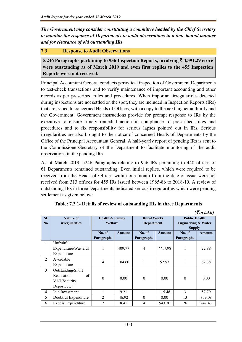*The Government may consider constituting a committee headed by the Chief Secretary to monitor the response of Departments to audit observations in a time bound manner and for clearance of old outstanding IRs.* 

#### **7.3 Response to Audit Observations**

**5,246 Paragraphs pertaining to 956 Inspection Reports, involving** ` **4,391.29 crore were outstanding as of March 2019 and even first replies to the 455 Inspection Reports were not received.** 

Principal Accountant General conducts periodical inspection of Government Departments to test-check transactions and to verify maintenance of important accounting and other records as per prescribed rules and procedures. When important irregularities detected during inspections are not settled on the spot, they are included in Inspection Reports (IRs) that are issued to concerned Heads of Offices, with a copy to the next higher authority and the Government. Government instructions provide for prompt response to IRs by the executive to ensure timely remedial action in compliance to prescribed rules and procedures and to fix responsibility for serious lapses pointed out in IRs. Serious irregularities are also brought to the notice of concerned Heads of Departments by the Office of the Principal Accountant General. A half-yearly report of pending IRs is sent to the Commissioner/Secretary of the Department to facilitate monitoring of the audit observations in the pending IRs.

As of March 2019, 5246 Paragraphs relating to 956 IRs pertaining to 440 offices of 61 Departments remained outstanding. Even initial replies, which were required to be received from the Heads of Offices within one month from the date of issue were not received from 313 offices for 455 IRs issued between 1985-86 to 2018-19. A review of outstanding IRs in three Departments indicated serious irregularities which were pending settlement as given below:

| SI.            | <b>Nature of</b>          | <b>Health &amp; Family</b> |        | <b>Rural Works</b> |               | <b>Public Health</b>           |               |
|----------------|---------------------------|----------------------------|--------|--------------------|---------------|--------------------------------|---------------|
| No.            | <i>irregularities</i>     | Welfare                    |        | <b>Department</b>  |               | <b>Engineering &amp; Water</b> |               |
|                |                           |                            |        |                    |               | <b>Supply</b>                  |               |
|                |                           | No. of                     | Amount | No. of             | <b>Amount</b> | No. of                         | <b>Amount</b> |
|                |                           | Paragraphs                 |        | <b>Paragraphs</b>  |               | <b>Paragraphs</b>              |               |
| 1              | Unfruitful                |                            |        |                    |               |                                |               |
|                | Expenditure/Wasteful      | 1                          | 409.77 | $\overline{4}$     | 7717.98       |                                | 22.88         |
|                | Expenditure               |                            |        |                    |               |                                |               |
| $\overline{2}$ | Avoidable                 | 4                          | 104.60 |                    | 52.57         | 1                              | 62.38         |
|                | Expenditure               |                            |        |                    |               |                                |               |
| 3              | Outstanding/Short         | $\mathbf{0}$               | 0.00   | $\overline{0}$     | 0.00          | $\theta$                       | 0.00          |
|                | Realisation<br>of         |                            |        |                    |               |                                |               |
|                | VAT/Security              |                            |        |                    |               |                                |               |
|                | Deposit etc.              |                            |        |                    |               |                                |               |
| 4              | <b>Idle Investment</b>    | 1                          | 9.21   |                    | 115.48        | 3                              | 57.79         |
| 5              | Doubtful Expenditure      | 2                          | 46.92  | $\mathbf{0}$       | 0.00          | 13                             | 859.08        |
| 6              | <b>Excess Expenditure</b> | $\overline{2}$             | 8.41   | 4                  | 543.70        | 26                             | 742.43        |

| Table: 7.3.1- Details of review of outstanding IRs in three Departments |  |  |
|-------------------------------------------------------------------------|--|--|
|-------------------------------------------------------------------------|--|--|

 $( \bar{\mathbf{z}}$ *in lakh*)